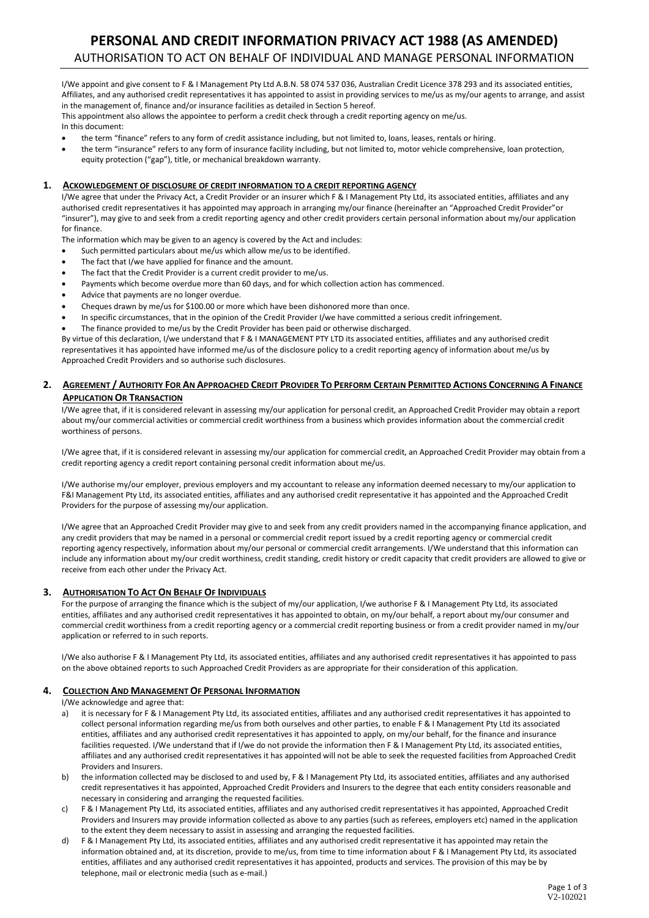# **PERSONAL AND CREDIT INFORMATION PRIVACY ACT 1988 (AS AMENDED)** AUTHORISATION TO ACT ON BEHALF OF INDIVIDUAL AND MANAGE PERSONAL INFORMATION

I/We appoint and give consent to F & I Management Pty Ltd A.B.N. 58 074 537 036, Australian Credit Licence 378 293 and its associated entities, Affiliates, and any authorised credit representatives it has appointed to assist in providing services to me/us as my/our agents to arrange, and assist in the management of, finance and/or insurance facilities as detailed in Section 5 hereof.

This appointment also allows the appointee to perform a credit check through a credit reporting agency on me/us. In this document:

- the term "finance" refers to any form of credit assistance including, but not limited to, loans, leases, rentals or hiring.
- the term "insurance" refers to any form of insurance facility including, but not limited to, motor vehicle comprehensive, loan protection, equity protection ("gap"), title, or mechanical breakdown warranty.

### **1. ACKOWLEDGEMENT OF DISCLOSURE OF CREDIT INFORMATION TO A CREDIT REPORTING AGENCY**

I/We agree that under the Privacy Act, a Credit Provider or an insurer which F & I Management Pty Ltd, its associated entities, affiliates and any authorised credit representatives it has appointed may approach in arranging my/our finance (hereinafter an "Approached Credit Provider"or "insurer"), may give to and seek from a credit reporting agency and other credit providers certain personal information about my/our application for finance.

The information which may be given to an agency is covered by the Act and includes:

- Such permitted particulars about me/us which allow me/us to be identified.
- The fact that I/we have applied for finance and the amount.
- The fact that the Credit Provider is a current credit provider to me/us.
- Payments which become overdue more than 60 days, and for which collection action has commenced.
- Advice that payments are no longer overdue.
- Cheques drawn by me/us for \$100.00 or more which have been dishonored more than once.
- In specific circumstances, that in the opinion of the Credit Provider I/we have committed a serious credit infringement.
- The finance provided to me/us by the Credit Provider has been paid or otherwise discharged.

By virtue of this declaration, I/we understand that F & I MANAGEMENT PTY LTD its associated entities, affiliates and any authorised credit representatives it has appointed have informed me/us of the disclosure policy to a credit reporting agency of information about me/us by Approached Credit Providers and so authorise such disclosures.

## 2. AGREEMENT / AUTHORITY FOR AN APPROACHED CREDIT PROVIDER TO PERFORM CERTAIN PERMITTED ACTIONS CONCERNING A FINANCE **APPLICATION OR TRANSACTION**

I/We agree that, if it is considered relevant in assessing my/our application for personal credit, an Approached Credit Provider may obtain a report about my/our commercial activities or commercial credit worthiness from a business which provides information about the commercial credit worthiness of persons.

I/We agree that, if it is considered relevant in assessing my/our application for commercial credit, an Approached Credit Provider may obtain from a credit reporting agency a credit report containing personal credit information about me/us.

I/We authorise my/our employer, previous employers and my accountant to release any information deemed necessary to my/our application to F&I Management Pty Ltd, its associated entities, affiliates and any authorised credit representative it has appointed and the Approached Credit Providers for the purpose of assessing my/our application.

I/We agree that an Approached Credit Provider may give to and seek from any credit providers named in the accompanying finance application, and any credit providers that may be named in a personal or commercial credit report issued by a credit reporting agency or commercial credit reporting agency respectively, information about my/our personal or commercial credit arrangements. I/We understand that this information can include any information about my/our credit worthiness, credit standing, credit history or credit capacity that credit providers are allowed to give or receive from each other under the Privacy Act.

#### **3. AUTHORISATION TO ACT ON BEHALF OF INDIVIDUALS**

For the purpose of arranging the finance which is the subject of my/our application, I/we authorise F & I Management Pty Ltd, its associated entities, affiliates and any authorised credit representatives it has appointed to obtain, on my/our behalf, a report about my/our consumer and commercial credit worthiness from a credit reporting agency or a commercial credit reporting business or from a credit provider named in my/our application or referred to in such reports.

I/We also authorise F & I Management Pty Ltd, its associated entities, affiliates and any authorised credit representatives it has appointed to pass on the above obtained reports to such Approached Credit Providers as are appropriate for their consideration of this application.

#### **4. COLLECTION AND MANAGEMENT OF PERSONAL INFORMATION**

I/We acknowledge and agree that:

- a) it is necessary for F & I Management Pty Ltd, its associated entities, affiliates and any authorised credit representatives it has appointed to collect personal information regarding me/us from both ourselves and other parties, to enable F & I Management Pty Ltd its associated entities, affiliates and any authorised credit representatives it has appointed to apply, on my/our behalf, for the finance and insurance facilities requested. I/We understand that if I/we do not provide the information then F & I Management Pty Ltd, its associated entities, affiliates and any authorised credit representatives it has appointed will not be able to seek the requested facilities from Approached Credit Providers and Insurers.
- b) the information collected may be disclosed to and used by, F & I Management Pty Ltd, its associated entities, affiliates and any authorised credit representatives it has appointed, Approached Credit Providers and Insurers to the degree that each entity considers reasonable and necessary in considering and arranging the requested facilities.
- c) F & I Management Pty Ltd, its associated entities, affiliates and any authorised credit representatives it has appointed, Approached Credit Providers and Insurers may provide information collected as above to any parties (such as referees, employers etc) named in the application to the extent they deem necessary to assist in assessing and arranging the requested facilities.
- d) F & I Management Pty Ltd, its associated entities, affiliates and any authorised credit representative it has appointed may retain the information obtained and, at its discretion, provide to me/us, from time to time information about F & I Management Pty Ltd, its associated entities, affiliates and any authorised credit representatives it has appointed, products and services. The provision of this may be by telephone, mail or electronic media (such as e-mail.)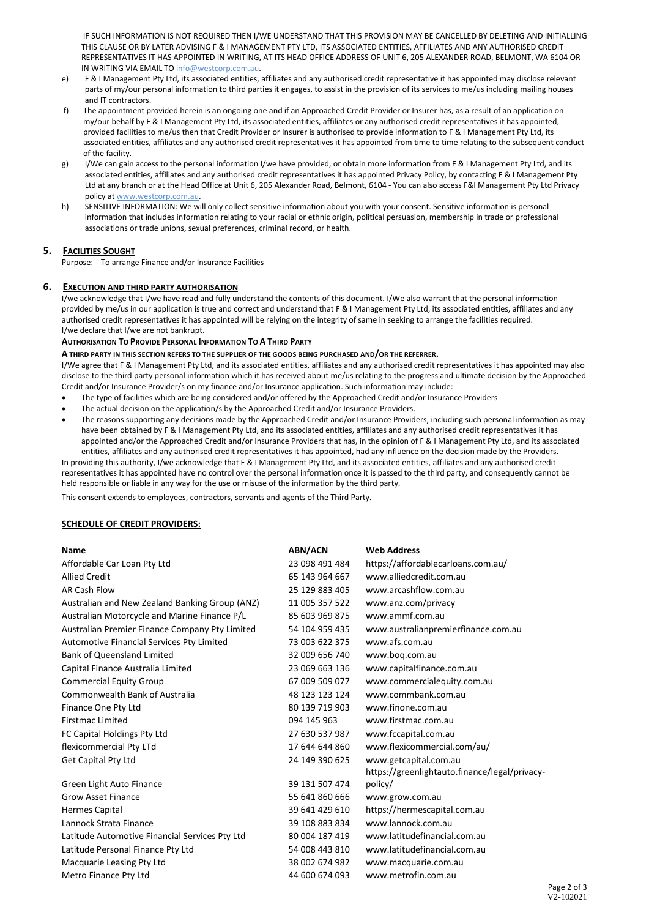IF SUCH INFORMATION IS NOT REQUIRED THEN I/WE UNDERSTAND THAT THIS PROVISION MAY BE CANCELLED BY DELETING AND INITIALLING THIS CLAUSE OR BY LATER ADVISING F & I MANAGEMENT PTY LTD, ITS ASSOCIATED ENTITIES, AFFILIATES AND ANY AUTHORISED CREDIT REPRESENTATIVES IT HAS APPOINTED IN WRITING, AT ITS HEAD OFFICE ADDRESS OF UNIT 6, 205 ALEXANDER ROAD, BELMONT, WA 6104 OR IN WRITING VIA EMAIL TO info@westcorp.com.au.

- e) F & I Management Pty Ltd, its associated entities, affiliates and any authorised credit representative it has appointed may disclose relevant parts of my/our personal information to third parties it engages, to assist in the provision of its services to me/us including mailing houses and IT contractors.
- f) The appointment provided herein is an ongoing one and if an Approached Credit Provider or Insurer has, as a result of an application on my/our behalf by F & I Management Pty Ltd, its associated entities, affiliates or any authorised credit representatives it has appointed, provided facilities to me/us then that Credit Provider or Insurer is authorised to provide information to F & I Management Pty Ltd, its associated entities, affiliates and any authorised credit representatives it has appointed from time to time relating to the subsequent conduct of the facility.
- g) I/We can gain access to the personal information I/we have provided, or obtain more information from F & I Management Pty Ltd, and its associated entities, affiliates and any authorised credit representatives it has appointed Privacy Policy, by contacting F & I Management Pty Ltd at any branch or at the Head Office at Unit 6, 205 Alexander Road, Belmont, 6104 - You can also access F&I Management Pty Ltd Privacy policy at [www.westcorp.com.au.](http://www.westcorp.com.au/)
- h) SENSITIVE INFORMATION: We will only collect sensitive information about you with your consent. Sensitive information is personal information that includes information relating to your racial or ethnic origin, political persuasion, membership in trade or professional associations or trade unions, sexual preferences, criminal record, or health.

# **5. FACILITIES SOUGHT**

Purpose: To arrange Finance and/or Insurance Facilities

# **6. EXECUTION AND THIRD PARTY AUTHORISATION**

I/we acknowledge that I/we have read and fully understand the contents of this document. I/We also warrant that the personal information provided by me/us in our application is true and correct and understand that F & I Management Pty Ltd, its associated entities, affiliates and any authorised credit representatives it has appointed will be relying on the integrity of same in seeking to arrange the facilities required. I/we declare that I/we are not bankrupt.

### **AUTHORISATION TO PROVIDE PERSONAL INFORMATION TO A THIRD PARTY**

**A THIRD PARTY IN THIS SECTION REFERS TO THE SUPPLIER OF THE GOODS BEING PURCHASED AND/OR THE REFERRER.**

I/We agree that F & I Management Pty Ltd, and its associated entities, affiliates and any authorised credit representatives it has appointed may also disclose to the third party personal information which it has received about me/us relating to the progress and ultimate decision by the Approached Credit and/or Insurance Provider/s on my finance and/or Insurance application. Such information may include:

- The type of facilities which are being considered and/or offered by the Approached Credit and/or Insurance Providers
- The actual decision on the application/s by the Approached Credit and/or Insurance Providers.
- The reasons supporting any decisions made by the Approached Credit and/or Insurance Providers, including such personal information as may have been obtained by F & I Management Pty Ltd, and its associated entities, affiliates and any authorised credit representatives it has appointed and/or the Approached Credit and/or Insurance Providers that has, in the opinion of F & I Management Pty Ltd, and its associated entities, affiliates and any authorised credit representatives it has appointed, had any influence on the decision made by the Providers.

In providing this authority, I/we acknowledge that F & I Management Pty Ltd, and its associated entities, affiliates and any authorised credit representatives it has appointed have no control over the personal information once it is passed to the third party, and consequently cannot be held responsible or liable in any way for the use or misuse of the information by the third party.

This consent extends to employees, contractors, servants and agents of the Third Party.

# **SCHEDULE OF CREDIT PROVIDERS:**

| <b>Name</b>                                      | <b>ABN/ACN</b> | <b>Web Address</b>                            |
|--------------------------------------------------|----------------|-----------------------------------------------|
| Affordable Car Loan Pty Ltd                      | 23 098 491 484 | https://affordablecarloans.com.au/            |
| <b>Allied Credit</b>                             | 65 143 964 667 | www.alliedcredit.com.au                       |
| <b>AR Cash Flow</b>                              | 25 129 883 405 | www.arcashflow.com.au                         |
| Australian and New Zealand Banking Group (ANZ)   | 11 005 357 522 | www.anz.com/privacy                           |
| Australian Motorcycle and Marine Finance P/L     | 85 603 969 875 | www.ammf.com.au                               |
| Australian Premier Finance Company Pty Limited   | 54 104 959 435 | www.australianpremierfinance.com.au           |
| <b>Automotive Financial Services Pty Limited</b> | 73 003 622 375 | www.afs.com.au                                |
| <b>Bank of Queensland Limited</b>                | 32 009 656 740 | www.bog.com.au                                |
| Capital Finance Australia Limited                | 23 069 663 136 | www.capitalfinance.com.au                     |
| <b>Commercial Equity Group</b>                   | 67 009 509 077 | www.commercialequity.com.au                   |
| <b>Commonwealth Bank of Australia</b>            | 48 123 123 124 | www.commbank.com.au                           |
| Finance One Pty Ltd                              | 80 139 719 903 | www.finone.com.au                             |
| <b>Firstmac Limited</b>                          | 094 145 963    | www.firstmac.com.au                           |
| FC Capital Holdings Pty Ltd                      | 27 630 537 987 | www.fccapital.com.au                          |
| flexicommercial Pty LTd                          | 17 644 644 860 | www.flexicommercial.com/au/                   |
| <b>Get Capital Pty Ltd</b>                       | 24 149 390 625 | www.getcapital.com.au                         |
|                                                  |                | https://greenlightauto.finance/legal/privacy- |
| Green Light Auto Finance                         | 39 131 507 474 | policy/                                       |
| <b>Grow Asset Finance</b>                        | 55 641 860 666 | www.grow.com.au                               |
| Hermes Capital                                   | 39 641 429 610 | https://hermescapital.com.au                  |
| Lannock Strata Finance                           | 39 108 883 834 | www.lannock.com.au                            |
| Latitude Automotive Financial Services Pty Ltd   | 80 004 187 419 | www.latitudefinancial.com.au                  |
| Latitude Personal Finance Pty Ltd                | 54 008 443 810 | www.latitudefinancial.com.au                  |
| Macquarie Leasing Pty Ltd                        | 38 002 674 982 | www.macquarie.com.au                          |
| Metro Finance Pty Ltd                            | 44 600 674 093 | www.metrofin.com.au                           |